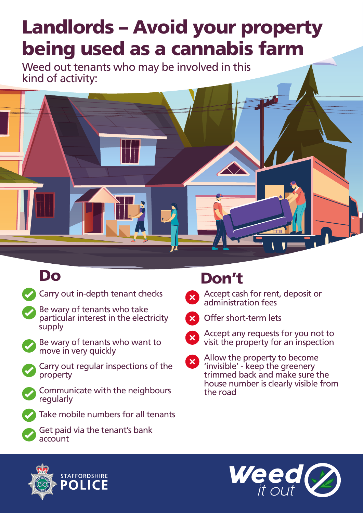## Landlords – Avoid your property being used as a cannabis farm

Weed out tenants who may be involved in this kind of activity:



Carry out in-depth tenant checks

- Be wary of tenants who take particular interest in the electricity **supply**
- 

Be wary of tenants who want to move in very quickly



Carry out regular inspections of the property



Communicate with the neighbours regularly





Get paid via the tenant's bank account

## Do Don't

Accept cash for rent, deposit or administration fees



Offer short-term lets



Allow the property to become  $\mathbf{x}$ 'invisible' - keep the greenery trimmed back and make sure the house number is clearly visible from the road